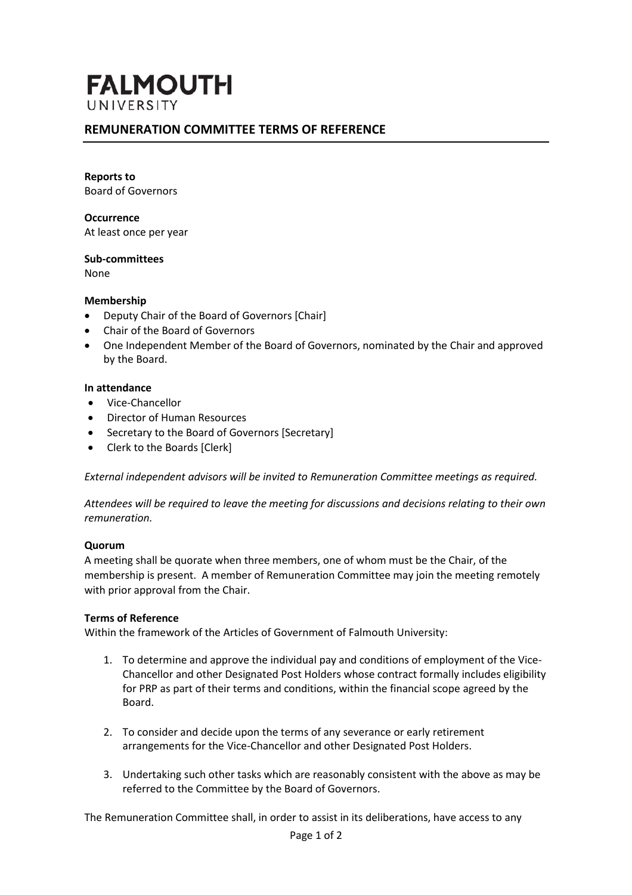# **FALMOUTH** UNIVERSITY

# **REMUNERATION COMMITTEE TERMS OF REFERENCE**

#### **Reports to**

Board of Governors

#### **Occurrence**

At least once per year

#### **Sub-committees** None

#### **Membership**

- Deputy Chair of the Board of Governors [Chair]
- Chair of the Board of Governors
- One Independent Member of the Board of Governors, nominated by the Chair and approved by the Board.

#### **In attendance**

- Vice-Chancellor
- Director of Human Resources
- Secretary to the Board of Governors [Secretary]
- Clerk to the Boards [Clerk]

*External independent advisors will be invited to Remuneration Committee meetings as required.*

*Attendees will be required to leave the meeting for discussions and decisions relating to their own remuneration.*

#### **Quorum**

A meeting shall be quorate when three members, one of whom must be the Chair, of the membership is present. A member of Remuneration Committee may join the meeting remotely with prior approval from the Chair.

#### **Terms of Reference**

Within the framework of the Articles of Government of Falmouth University:

- 1. To determine and approve the individual pay and conditions of employment of the Vice-Chancellor and other Designated Post Holders whose contract formally includes eligibility for PRP as part of their terms and conditions, within the financial scope agreed by the Board.
- 2. To consider and decide upon the terms of any severance or early retirement arrangements for the Vice-Chancellor and other Designated Post Holders.
- 3. Undertaking such other tasks which are reasonably consistent with the above as may be referred to the Committee by the Board of Governors.

The Remuneration Committee shall, in order to assist in its deliberations, have access to any